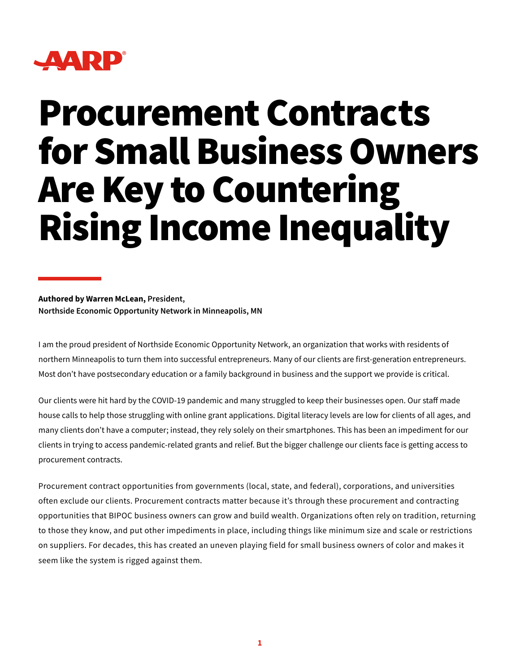

## Procurement Contracts for Small Business Owners Are Key to Countering Rising Income Inequality

**Authored by Warren McLean, President, Northside Economic Opportunity Network in Minneapolis, MN**

I am the proud president of Northside Economic Opportunity Network, an organization that works with residents of northern Minneapolis to turn them into successful entrepreneurs. Many of our clients are first-generation entrepreneurs. Most don't have postsecondary education or a family background in business and the support we provide is critical.

Our clients were hit hard by the COVID-19 pandemic and many struggled to keep their businesses open. Our staff made house calls to help those struggling with online grant applications. Digital literacy levels are low for clients of all ages, and many clients don't have a computer; instead, they rely solely on their smartphones. This has been an impediment for our clients in trying to access pandemic-related grants and relief. But the bigger challenge our clients face is getting access to procurement contracts.

Procurement contract opportunities from governments (local, state, and federal), corporations, and universities often exclude our clients. Procurement contracts matter because it's through these procurement and contracting opportunities that BIPOC business owners can grow and build wealth. Organizations often rely on tradition, returning to those they know, and put other impediments in place, including things like minimum size and scale or restrictions on suppliers. For decades, this has created an uneven playing field for small business owners of color and makes it seem like the system is rigged against them.